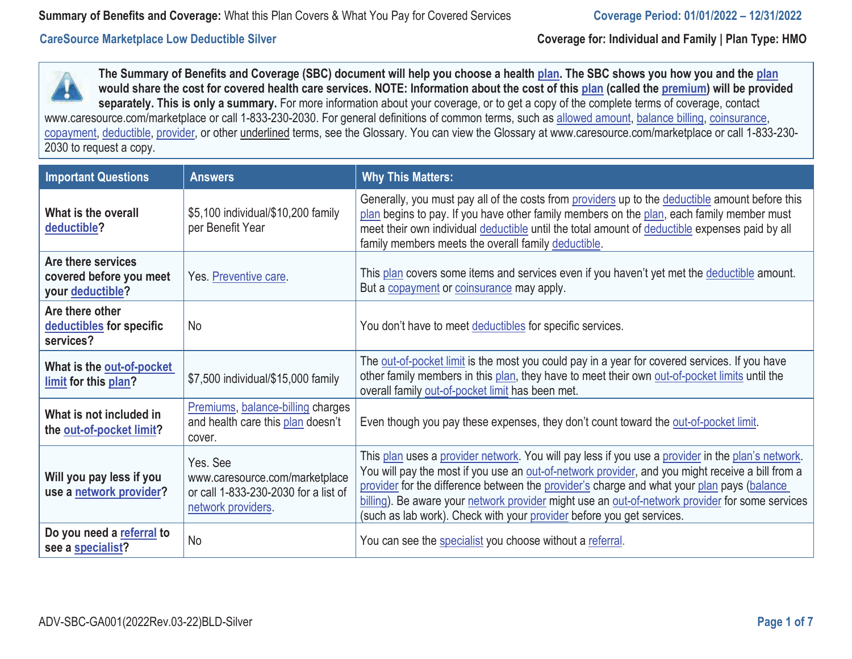**The Summary of Benefits and Coverage (SBC) document will help you choose a health plan. The SBC shows you how you and the plan would share the cost for covered health care services. NOTE: Information about the cost of this plan (called the premium) will be provided**  separately. This is only a summary. For more information about your coverage, or to get a copy of the complete terms of coverage, contact [www.caresource.com/marketplace](https://www.caresource.com/marketplace) or call 1-833-230-2030. For general definitions of common terms, such as allowed amount, balance billing, coinsurance, copayment, deductible, provider, or other underlined terms, see the Glossary. You can view the Glossary at [www.caresource.com/marketplace](https://www.caresource.com/marketplace) or call 1-833-230- 2030 to request a copy.

| <b>Important Questions</b>                                        | <b>Answers</b>                                                                                           | <b>Why This Matters:</b>                                                                                                                                                                                                                                                                                                                                                                                                                                                        |
|-------------------------------------------------------------------|----------------------------------------------------------------------------------------------------------|---------------------------------------------------------------------------------------------------------------------------------------------------------------------------------------------------------------------------------------------------------------------------------------------------------------------------------------------------------------------------------------------------------------------------------------------------------------------------------|
| What is the overall<br>deductible?                                | \$5,100 individual/\$10,200 family<br>per Benefit Year                                                   | Generally, you must pay all of the costs from providers up to the deductible amount before this<br>plan begins to pay. If you have other family members on the plan, each family member must<br>meet their own individual deductible until the total amount of deductible expenses paid by all<br>family members meets the overall family deductible.                                                                                                                           |
| Are there services<br>covered before you meet<br>your deductible? | Yes. Preventive care.                                                                                    | This plan covers some items and services even if you haven't yet met the deductible amount.<br>But a copayment or coinsurance may apply.                                                                                                                                                                                                                                                                                                                                        |
| Are there other<br>deductibles for specific<br>services?          | <b>No</b>                                                                                                | You don't have to meet deductibles for specific services.                                                                                                                                                                                                                                                                                                                                                                                                                       |
| What is the out-of-pocket<br>limit for this plan?                 | \$7,500 individual/\$15,000 family                                                                       | The out-of-pocket limit is the most you could pay in a year for covered services. If you have<br>other family members in this plan, they have to meet their own out-of-pocket limits until the<br>overall family out-of-pocket limit has been met.                                                                                                                                                                                                                              |
| What is not included in<br>the out-of-pocket limit?               | Premiums, balance-billing charges<br>and health care this plan doesn't<br>cover.                         | Even though you pay these expenses, they don't count toward the out-of-pocket limit.                                                                                                                                                                                                                                                                                                                                                                                            |
| Will you pay less if you<br>use a network provider?               | Yes. See<br>www.caresource.com/marketplace<br>or call 1-833-230-2030 for a list of<br>network providers. | This plan uses a provider network. You will pay less if you use a provider in the plan's network.<br>You will pay the most if you use an out-of-network provider, and you might receive a bill from a<br>provider for the difference between the provider's charge and what your plan pays (balance<br>billing). Be aware your network provider might use an out-of-network provider for some services<br>(such as lab work). Check with your provider before you get services. |
| Do you need a referral to<br>see a specialist?                    | <b>No</b>                                                                                                | You can see the specialist you choose without a referral.                                                                                                                                                                                                                                                                                                                                                                                                                       |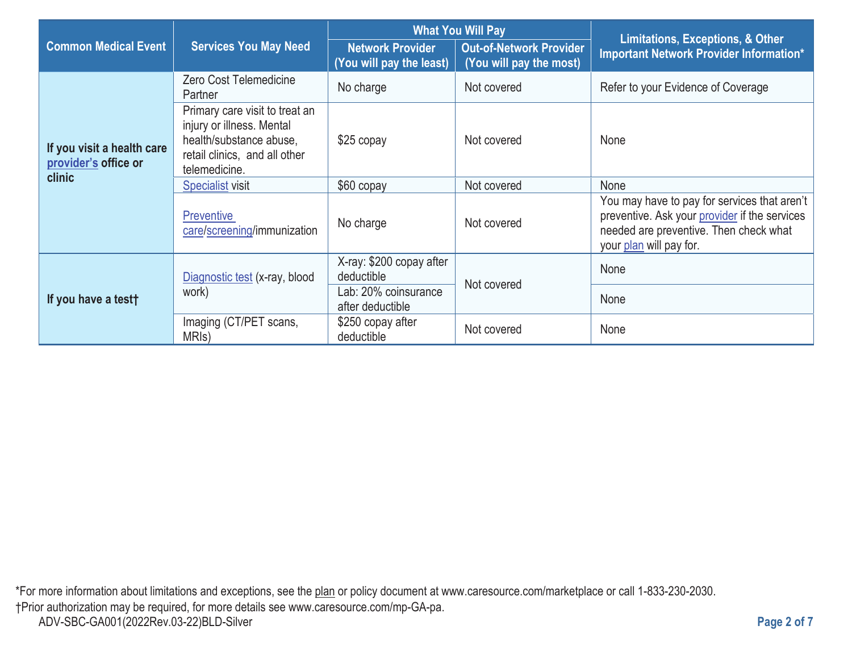|                                                    |                                                                                                                                          | <b>What You Will Pay</b>                            |                                                           | <b>Limitations, Exceptions, &amp; Other</b>                                                                                                                        |
|----------------------------------------------------|------------------------------------------------------------------------------------------------------------------------------------------|-----------------------------------------------------|-----------------------------------------------------------|--------------------------------------------------------------------------------------------------------------------------------------------------------------------|
| <b>Common Medical Event</b>                        | <b>Services You May Need</b>                                                                                                             | <b>Network Provider</b><br>(You will pay the least) | <b>Out-of-Network Provider</b><br>(You will pay the most) | Important Network Provider Information*                                                                                                                            |
| If you visit a health care<br>provider's office or | Zero Cost Telemedicine<br>Partner                                                                                                        | No charge                                           | Not covered                                               | Refer to your Evidence of Coverage                                                                                                                                 |
|                                                    | Primary care visit to treat an<br>injury or illness. Mental<br>health/substance abuse,<br>retail clinics, and all other<br>telemedicine. | $$25$ copay                                         | Not covered                                               | None                                                                                                                                                               |
| clinic                                             | <b>Specialist visit</b>                                                                                                                  | \$60 copay                                          | Not covered                                               | None                                                                                                                                                               |
|                                                    | <b>Preventive</b><br>care/screening/immunization                                                                                         | No charge                                           | Not covered                                               | You may have to pay for services that aren't<br>preventive. Ask your provider if the services<br>needed are preventive. Then check what<br>your plan will pay for. |
| If you have a test†                                | Diagnostic test (x-ray, blood<br>work)                                                                                                   | X-ray: \$200 copay after<br>deductible              | Not covered                                               | None                                                                                                                                                               |
|                                                    |                                                                                                                                          | Lab: 20% coinsurance<br>after deductible            |                                                           | None                                                                                                                                                               |
|                                                    | Imaging (CT/PET scans,<br>MRI <sub>s</sub> )                                                                                             | \$250 copay after<br>deductible                     | Not covered                                               | None                                                                                                                                                               |

\*For more information about limitations and exceptions, see the plan or policy document at www.caresource.com/marketplace or call 1-833-230-2030. †Prior authorization may be required, for more details see www.caresource.com/mp-GA-pa. ADV-SBC-GA001(2022Rev.03-22)BLD-Silver **Page 2 of 7**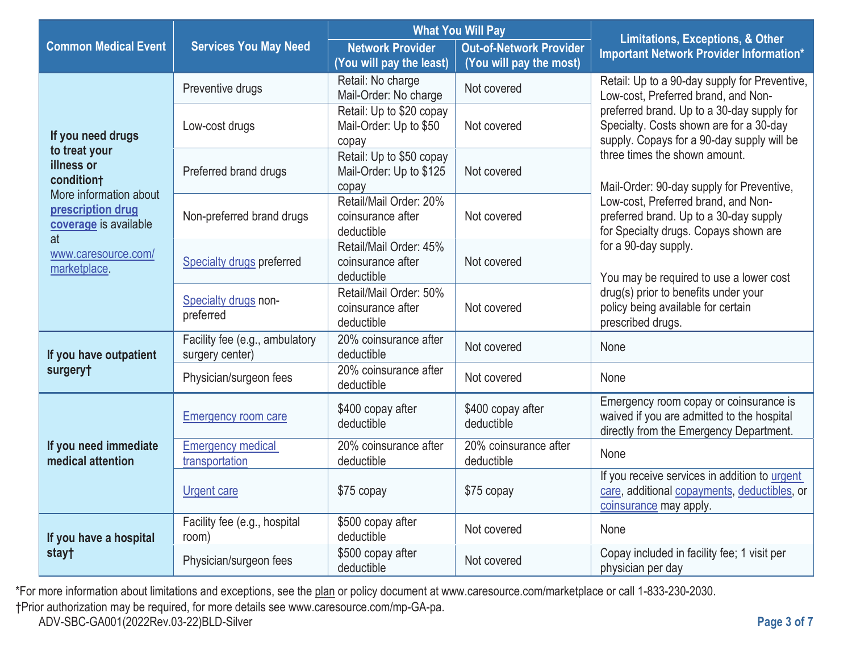|                                                                     |                                                   | <b>What You Will Pay</b>                                     |                                                           | <b>Limitations, Exceptions, &amp; Other</b>                                                                                                                                                                                 |  |
|---------------------------------------------------------------------|---------------------------------------------------|--------------------------------------------------------------|-----------------------------------------------------------|-----------------------------------------------------------------------------------------------------------------------------------------------------------------------------------------------------------------------------|--|
| <b>Common Medical Event</b>                                         | <b>Services You May Need</b>                      | <b>Network Provider</b><br>(You will pay the least)          | <b>Out-of-Network Provider</b><br>(You will pay the most) | <b>Important Network Provider Information*</b>                                                                                                                                                                              |  |
| If you need drugs                                                   | Preventive drugs                                  | Retail: No charge<br>Mail-Order: No charge                   | Not covered                                               | Retail: Up to a 90-day supply for Preventive,<br>Low-cost, Preferred brand, and Non-<br>preferred brand. Up to a 30-day supply for<br>Specialty. Costs shown are for a 30-day<br>supply. Copays for a 90-day supply will be |  |
|                                                                     | Low-cost drugs                                    | Retail: Up to \$20 copay<br>Mail-Order: Up to \$50<br>copay  | Not covered                                               |                                                                                                                                                                                                                             |  |
| to treat your<br>illness or<br>conditiont<br>More information about | Preferred brand drugs                             | Retail: Up to \$50 copay<br>Mail-Order: Up to \$125<br>copay | Not covered                                               | three times the shown amount.<br>Mail-Order: 90-day supply for Preventive,                                                                                                                                                  |  |
| prescription drug<br>coverage is available<br>at                    | Non-preferred brand drugs                         | Retail/Mail Order: 20%<br>coinsurance after<br>deductible    | Not covered                                               | Low-cost, Preferred brand, and Non-<br>preferred brand. Up to a 30-day supply<br>for Specialty drugs. Copays shown are                                                                                                      |  |
| www.caresource.com/<br>marketplace.                                 | Specialty drugs preferred                         | Retail/Mail Order: 45%<br>coinsurance after<br>deductible    | Not covered                                               | for a 90-day supply.<br>You may be required to use a lower cost<br>drug(s) prior to benefits under your<br>policy being available for certain<br>prescribed drugs.                                                          |  |
|                                                                     | Specialty drugs non-<br>preferred                 | Retail/Mail Order: 50%<br>coinsurance after<br>deductible    | Not covered                                               |                                                                                                                                                                                                                             |  |
| If you have outpatient                                              | Facility fee (e.g., ambulatory<br>surgery center) | 20% coinsurance after<br>deductible                          | Not covered                                               | None                                                                                                                                                                                                                        |  |
| surgery†                                                            | Physician/surgeon fees                            | 20% coinsurance after<br>deductible                          | Not covered                                               | None                                                                                                                                                                                                                        |  |
|                                                                     | <b>Emergency room care</b>                        | \$400 copay after<br>deductible                              | \$400 copay after<br>deductible                           | Emergency room copay or coinsurance is<br>waived if you are admitted to the hospital<br>directly from the Emergency Department.                                                                                             |  |
| If you need immediate<br>medical attention                          | <b>Emergency medical</b><br>transportation        | 20% coinsurance after<br>deductible                          | 20% coinsurance after<br>deductible                       | None                                                                                                                                                                                                                        |  |
|                                                                     | <b>Urgent care</b>                                | \$75 copay                                                   | \$75 copay                                                | If you receive services in addition to urgent<br>care, additional copayments, deductibles, or<br>coinsurance may apply.                                                                                                     |  |
| If you have a hospital<br>stay†                                     | Facility fee (e.g., hospital<br>room)             | \$500 copay after<br>deductible                              | Not covered                                               | None                                                                                                                                                                                                                        |  |
|                                                                     | Physician/surgeon fees                            | \$500 copay after<br>deductible                              | Not covered                                               | Copay included in facility fee; 1 visit per<br>physician per day                                                                                                                                                            |  |

\*For more information about limitations and exceptions, see the plan or policy document at www.caresource.com/marketplace or call 1-833-230-2030.

†Prior authorization may be required, for more details see www.caresource.com/mp-GA-pa.

ADV-SBC-GA001(2022Rev.03-22)BLD-Silver **Page 3 of 7**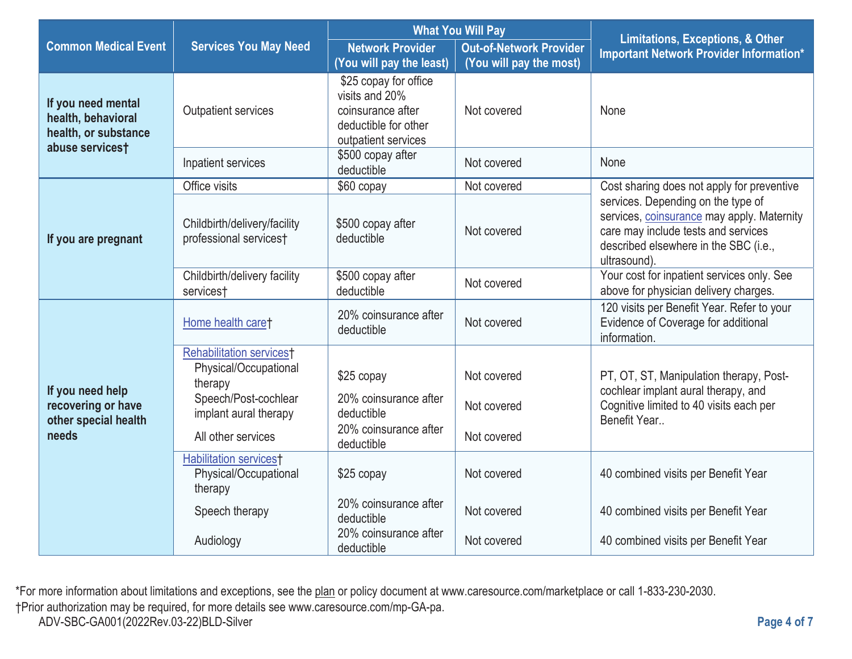|                                                                                     |                                                            | <b>What You Will Pay</b>                                                                                    |                                                           |                                                                                                                                                                                  |  |
|-------------------------------------------------------------------------------------|------------------------------------------------------------|-------------------------------------------------------------------------------------------------------------|-----------------------------------------------------------|----------------------------------------------------------------------------------------------------------------------------------------------------------------------------------|--|
| <b>Common Medical Event</b>                                                         | <b>Services You May Need</b>                               | <b>Network Provider</b><br>(You will pay the least)                                                         | <b>Out-of-Network Provider</b><br>(You will pay the most) | <b>Limitations, Exceptions, &amp; Other</b><br><b>Important Network Provider Information*</b>                                                                                    |  |
| If you need mental<br>health, behavioral<br>health, or substance<br>abuse services† | <b>Outpatient services</b>                                 | \$25 copay for office<br>visits and 20%<br>coinsurance after<br>deductible for other<br>outpatient services | Not covered                                               | None                                                                                                                                                                             |  |
|                                                                                     | Inpatient services                                         | \$500 copay after<br>deductible                                                                             | Not covered                                               | None                                                                                                                                                                             |  |
|                                                                                     | Office visits                                              | \$60 copay                                                                                                  | Not covered                                               | Cost sharing does not apply for preventive                                                                                                                                       |  |
| If you are pregnant                                                                 | Childbirth/delivery/facility<br>professional services†     | \$500 copay after<br>deductible                                                                             | Not covered                                               | services. Depending on the type of<br>services, coinsurance may apply. Maternity<br>care may include tests and services<br>described elsewhere in the SBC (i.e.,<br>ultrasound). |  |
|                                                                                     | Childbirth/delivery facility<br>services†                  | \$500 copay after<br>deductible                                                                             | Not covered                                               | Your cost for inpatient services only. See<br>above for physician delivery charges.                                                                                              |  |
|                                                                                     | Home health care†                                          | 20% coinsurance after<br>deductible                                                                         | Not covered                                               | 120 visits per Benefit Year. Refer to your<br>Evidence of Coverage for additional<br>information.                                                                                |  |
|                                                                                     | <b>Rehabilitation services</b> <sup>†</sup>                |                                                                                                             |                                                           |                                                                                                                                                                                  |  |
| If you need help<br>recovering or have<br>other special health<br>needs             | Physical/Occupational<br>therapy                           | \$25 copay                                                                                                  | Not covered                                               | PT, OT, ST, Manipulation therapy, Post-<br>cochlear implant aural therapy, and                                                                                                   |  |
|                                                                                     | Speech/Post-cochlear<br>implant aural therapy              | 20% coinsurance after<br>deductible                                                                         | Not covered                                               | Cognitive limited to 40 visits each per<br>Benefit Year                                                                                                                          |  |
|                                                                                     | All other services                                         | 20% coinsurance after<br>deductible                                                                         | Not covered                                               |                                                                                                                                                                                  |  |
|                                                                                     | Habilitation services†<br>Physical/Occupational<br>therapy | \$25 copay                                                                                                  | Not covered                                               | 40 combined visits per Benefit Year                                                                                                                                              |  |
|                                                                                     | Speech therapy                                             | 20% coinsurance after<br>deductible                                                                         | Not covered                                               | 40 combined visits per Benefit Year                                                                                                                                              |  |
|                                                                                     | Audiology                                                  | 20% coinsurance after<br>deductible                                                                         | Not covered                                               | 40 combined visits per Benefit Year                                                                                                                                              |  |

\*For more information about limitations and exceptions, see the plan or policy document at www.caresource.com/marketplace or call 1-833-230-2030.

†Prior authorization may be required, for more details see www.caresource.com/mp-GA-pa.

ADV-SBC-GA001(2022Rev.03-22)BLD-Silver **Page 4 of 7**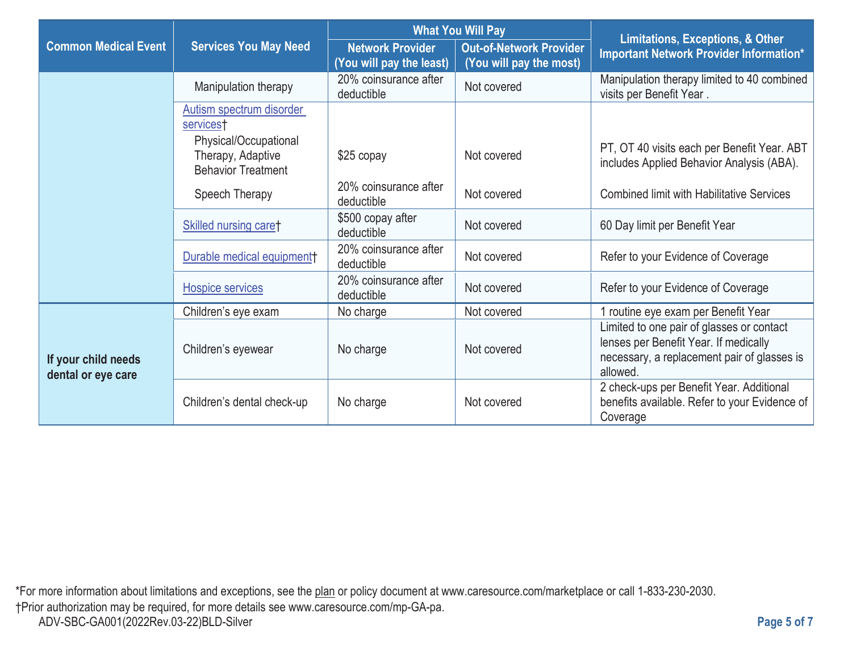|                                           |                                                                         | <b>What You Will Pay</b>                            |                                                           | <b>Limitations, Exceptions, &amp; Other</b>                                                                                                   |
|-------------------------------------------|-------------------------------------------------------------------------|-----------------------------------------------------|-----------------------------------------------------------|-----------------------------------------------------------------------------------------------------------------------------------------------|
| <b>Common Medical Event</b>               | <b>Services You May Need</b>                                            | <b>Network Provider</b><br>(You will pay the least) | <b>Out-of-Network Provider</b><br>(You will pay the most) | Important Network Provider Information*                                                                                                       |
|                                           | Manipulation therapy                                                    | 20% coinsurance after<br>deductible                 | Not covered                                               | Manipulation therapy limited to 40 combined<br>visits per Benefit Year.                                                                       |
|                                           | Autism spectrum disorder<br>services†                                   |                                                     |                                                           |                                                                                                                                               |
|                                           | Physical/Occupational<br>Therapy, Adaptive<br><b>Behavior Treatment</b> | $$25$ copay                                         | Not covered                                               | PT, OT 40 visits each per Benefit Year. ABT<br>includes Applied Behavior Analysis (ABA).                                                      |
|                                           | Speech Therapy                                                          | 20% coinsurance after<br>deductible                 | Not covered                                               | <b>Combined limit with Habilitative Services</b>                                                                                              |
|                                           | Skilled nursing caret                                                   | \$500 copay after<br>deductible                     | Not covered                                               | 60 Day limit per Benefit Year                                                                                                                 |
|                                           | Durable medical equipment                                               | 20% coinsurance after<br>deductible                 | Not covered                                               | Refer to your Evidence of Coverage                                                                                                            |
|                                           | Hospice services                                                        | 20% coinsurance after<br>deductible                 | Not covered                                               | Refer to your Evidence of Coverage                                                                                                            |
|                                           | Children's eye exam                                                     | No charge                                           | Not covered                                               | 1 routine eye exam per Benefit Year                                                                                                           |
| If your child needs<br>dental or eye care | Children's eyewear                                                      | No charge                                           | Not covered                                               | Limited to one pair of glasses or contact<br>lenses per Benefit Year. If medically<br>necessary, a replacement pair of glasses is<br>allowed. |
|                                           | Children's dental check-up                                              | No charge                                           | Not covered                                               | 2 check-ups per Benefit Year. Additional<br>benefits available. Refer to your Evidence of<br>Coverage                                         |

\*For more information about limitations and exceptions, see the plan or policy document at www.caresource.com/marketplace or call 1-833-230-2030. †Prior authorization may be required, for more details see www.caresource.com/mp-GA-pa. ADV-SBC-GA001(2022Rev.03-22)BLD-Silver **Page 5 of 7**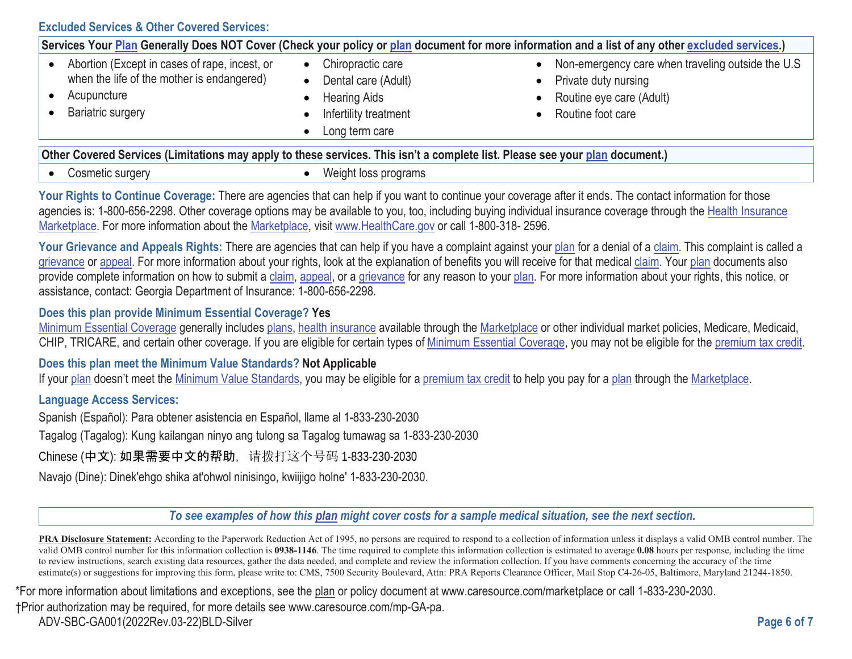**Excluded Services & Other Covered Services:** 

| Services Your <u>Plan</u> Generally Does NOT Cover (Check your policy or <u>plan</u> document for more information and a list of any other <u>excluded services</u> .) |                                                                                                                         |                                                                                                                              |  |  |
|------------------------------------------------------------------------------------------------------------------------------------------------------------------------|-------------------------------------------------------------------------------------------------------------------------|------------------------------------------------------------------------------------------------------------------------------|--|--|
| Abortion (Except in cases of rape, incest, or<br>when the life of the mother is endangered)<br>Acupuncture<br><b>Bariatric surgery</b>                                 | Chiropractic care<br>$\bullet$<br>Dental care (Adult)<br><b>Hearing Aids</b><br>Infertility treatment<br>Long term care | Non-emergency care when traveling outside the U.S<br>• Private duty nursing<br>Routine eye care (Adult)<br>Routine foot care |  |  |
| Other Covered Services (Limitations may apply to these services. This isn't a complete list. Please see your plan document.)                                           |                                                                                                                         |                                                                                                                              |  |  |

• Cosmetic surgery

 $\bullet$  Weight loss programs

Your Rights to Continue Coverage: There are agencies that can help if you want to continue your coverage after it ends. The contact information for those agencies is: 1-800-656-2298. Other coverage options may be available to you, too, including buying individual insurance coverage through the Health Insurance Marketplace. For more information about the Marketplace, visit [www.HealthCare.gov](https://www.HealthCare.gov) or call 1-800-318- 2596.

Your Grievance and Appeals Rights: There are agencies that can help if you have a complaint against your plan for a denial of a claim. This complaint is called a grievance or appeal. For more information about your rights, look at the explanation of benefits you will receive for that medical claim. Your plan documents also provide complete information on how to submit a claim, appeal, or a grievance for any reason to your plan. For more information about your rights, this notice, or assistance, contact: Georgia Department of Insurance: 1-800-656-2298.

## **Does this plan provide Minimum Essential Coverage? Yes**

Minimum Essential Coverage generally includes plans, health insurance available through the Marketplace or other individual market policies, Medicare, Medicaid, CHIP, TRICARE, and certain other coverage. If you are eligible for certain types of Minimum Essential Coverage, you may not be eligible for the premium tax credit.

## **Does this plan meet the Minimum Value Standards? Not Applicable**

If your plan doesn't meet the Minimum Value Standards, you may be eligible for a premium tax credit to help you pay for a plan through the Marketplace.

# **Language Access Services:**

Spanish (Español): Para obtener asistencia en Español, llame al 1-833-230-2030

Tagalog (Tagalog): Kung kailangan ninyo ang tulong sa Tagalog tumawag sa 1-833-230-2030

Chinese (中文): 如果需要中文的帮助, 请拨打这个号码 1-833-230-2030

Navajo (Dine): Dinek'ehgo shika at'ohwol ninisingo, kwiijigo holne' 1-833-230-2030.

*To see examples of how this plan might cover costs for a sample medical situation, see the next section.* 

**PRA Disclosure Statement:** According to the Paperwork Reduction Act of 1995, no persons are required to respond to a collection of information unless it displays a valid OMB control number. The valid OMB control number for this information collection is **0938-1146**. The time required to complete this information collection is estimated to average **0.08** hours per response, including the time to review instructions, search existing data resources, gather the data needed, and complete and review the information collection. If you have comments concerning the accuracy of the time estimate(s) or suggestions for improving this form, please write to: CMS, 7500 Security Boulevard, Attn: PRA Reports Clearance Officer, Mail Stop C4-26-05, Baltimore, Maryland 21244-1850.

\*For more information about limitations and exceptions, see the plan or policy document at www.caresource.com/marketplace or call 1-833-230-2030.

ADV-SBC-GA001(2022Rev.03-22)BLD-Silver **Page 6 of 7**  †Prior authorization may be required, for more details see www.caresource.com/mp-GA-pa.